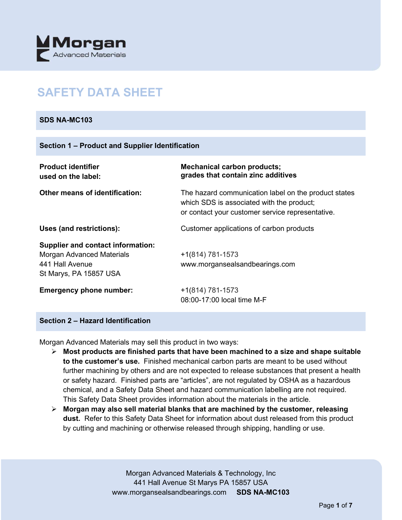

# **SAFETY DATA SHEET**

## **SDS NA-MC103**

| <b>Product identifier</b><br>used on the label:                                                                    | <b>Mechanical carbon products;</b><br>grades that contain zinc additives                                                                              |
|--------------------------------------------------------------------------------------------------------------------|-------------------------------------------------------------------------------------------------------------------------------------------------------|
| <b>Other means of identification:</b>                                                                              | The hazard communication label on the product states<br>which SDS is associated with the product;<br>or contact your customer service representative. |
| Uses (and restrictions):                                                                                           | Customer applications of carbon products                                                                                                              |
| <b>Supplier and contact information:</b><br>Morgan Advanced Materials<br>441 Hall Avenue<br>St Marys, PA 15857 USA | $+1(814) 781-1573$<br>www.morgansealsandbearings.com                                                                                                  |
| <b>Emergency phone number:</b>                                                                                     | +1(814) 781-1573<br>08:00-17:00 local time M-F                                                                                                        |

# **Section 2 – Hazard Identification**

Morgan Advanced Materials may sell this product in two ways:

- **Most products are finished parts that have been machined to a size and shape suitable to the customer's use.** Finished mechanical carbon parts are meant to be used without further machining by others and are not expected to release substances that present a health or safety hazard. Finished parts are "articles", are not regulated by OSHA as a hazardous chemical, and a Safety Data Sheet and hazard communication labelling are not required. This Safety Data Sheet provides information about the materials in the article.
- **Morgan may also sell material blanks that are machined by the customer, releasing dust.** Refer to this Safety Data Sheet for information about dust released from this product by cutting and machining or otherwise released through shipping, handling or use.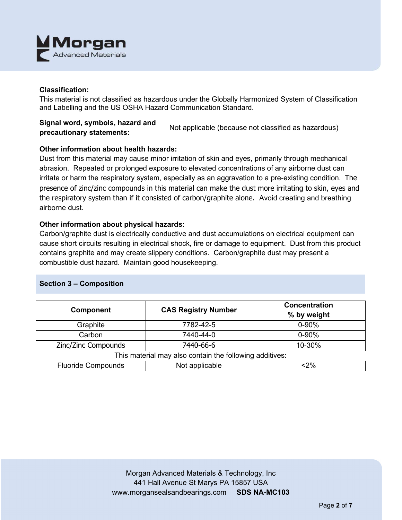

## **Classification:**

This material is not classified as hazardous under the Globally Harmonized System of Classification and Labelling and the US OSHA Hazard Communication Standard.

# **Signal word, symbols, hazard and precautionary statements:** Not applicable (because not classified as hazardous)

# **Other information about health hazards:**

Dust from this material may cause minor irritation of skin and eyes, primarily through mechanical abrasion. Repeated or prolonged exposure to elevated concentrations of any airborne dust can irritate or harm the respiratory system, especially as an aggravation to a pre-existing condition. The presence of zinc/zinc compounds in this material can make the dust more irritating to skin, eyes and the respiratory system than if it consisted of carbon/graphite alone. Avoid creating and breathing airborne dust.

## **Other information about physical hazards:**

Carbon/graphite dust is electrically conductive and dust accumulations on electrical equipment can cause short circuits resulting in electrical shock, fire or damage to equipment. Dust from this product contains graphite and may create slippery conditions. Carbon/graphite dust may present a combustible dust hazard. Maintain good housekeeping.

# **Section 3 – Composition**

| <b>Component</b>                                        | <b>CAS Registry Number</b> | <b>Concentration</b><br>% by weight |  |  |
|---------------------------------------------------------|----------------------------|-------------------------------------|--|--|
| Graphite                                                | 7782-42-5                  | $0 - 90%$                           |  |  |
| Carbon                                                  | 7440-44-0                  | $0 - 90%$                           |  |  |
| Zinc/Zinc Compounds                                     | 7440-66-6                  | 10-30%                              |  |  |
| This material may also contain the following additives: |                            |                                     |  |  |
| <b>Fluoride Compounds</b>                               | Not applicable             | $<$ 2%                              |  |  |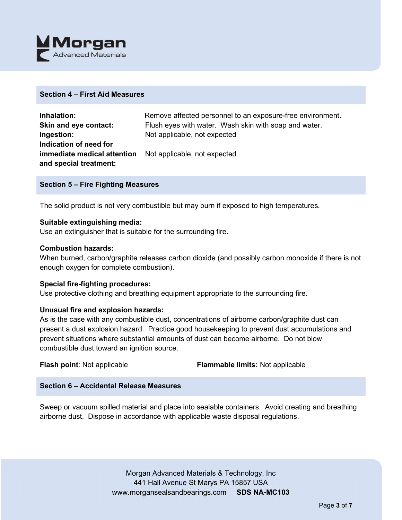

#### **Section 4 – First Aid Measures**

| Inhalation:                 | Remove affected personnel to an exposure-free environment. |
|-----------------------------|------------------------------------------------------------|
| Skin and eye contact:       | Flush eyes with water. Wash skin with soap and water.      |
| Ingestion:                  | Not applicable, not expected                               |
| Indication of need for      |                                                            |
| immediate medical attention | Not applicable, not expected                               |
| and special treatment:      |                                                            |

## **Section 5 – Fire Fighting Measures**

The solid product is not very combustible but may burn if exposed to high temperatures.

#### **Suitable extinguishing media:**

Use an extinguisher that is suitable for the surrounding fire.

## **Combustion hazards:**

When burned, carbon/graphite releases carbon dioxide (and possibly carbon monoxide if there is not enough oxygen for complete combustion).

#### **Special fire-fighting procedures:**

Use protective clothing and breathing equipment appropriate to the surrounding fire.

# **Unusual fire and explosion hazards:**

As is the case with any combustible dust, concentrations of airborne carbon/graphite dust can present a dust explosion hazard. Practice good housekeeping to prevent dust accumulations and prevent situations where substantial amounts of dust can become airborne. Do not blow combustible dust toward an ignition source.

**Flash point**: Not applicable **Flammable limits:** Not applicable

# **Section 6 – Accidental Release Measures**

Sweep or vacuum spilled material and place into sealable containers. Avoid creating and breathing airborne dust. Dispose in accordance with applicable waste disposal regulations.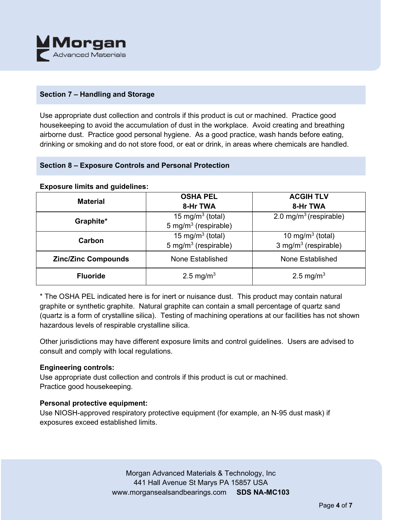

# **Section 7 – Handling and Storage**

Use appropriate dust collection and controls if this product is cut or machined. Practice good housekeeping to avoid the accumulation of dust in the workplace. Avoid creating and breathing airborne dust. Practice good personal hygiene. As a good practice, wash hands before eating, drinking or smoking and do not store food, or eat or drink, in areas where chemicals are handled.

# **Section 8 – Exposure Controls and Personal Protection**

#### **Exposure limits and guidelines:**

| <b>Material</b>            | <b>OSHA PEL</b><br>8-Hr TWA                                      | <b>ACGIH TLV</b><br>8-Hr TWA                   |
|----------------------------|------------------------------------------------------------------|------------------------------------------------|
| Graphite*                  | 15 mg/m <sup>3</sup> (total)<br>5 mg/m <sup>3</sup> (respirable) | 2.0 mg/m <sup>3</sup> (respirable)             |
| Carbon                     | 15 mg/m <sup>3</sup> (total)<br>5 mg/m <sup>3</sup> (respirable) | 10 mg/m $3$ (total)<br>3 mg/m $3$ (respirable) |
| <b>Zinc/Zinc Compounds</b> | None Established                                                 | None Established                               |
| <b>Fluoride</b>            | 2.5 mg/m <sup>3</sup>                                            | 2.5 mg/m <sup>3</sup>                          |

\* The OSHA PEL indicated here is for inert or nuisance dust. This product may contain natural graphite or synthetic graphite. Natural graphite can contain a small percentage of quartz sand (quartz is a form of crystalline silica). Testing of machining operations at our facilities has not shown hazardous levels of respirable crystalline silica.

Other jurisdictions may have different exposure limits and control guidelines. Users are advised to consult and comply with local regulations.

#### **Engineering controls:**

Use appropriate dust collection and controls if this product is cut or machined. Practice good housekeeping.

# **Personal protective equipment:**

Use NIOSH-approved respiratory protective equipment (for example, an N-95 dust mask) if exposures exceed established limits.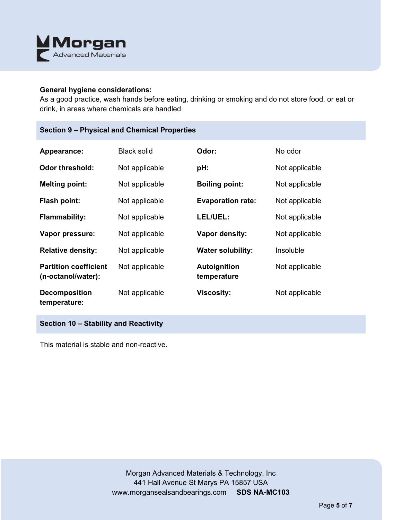

#### **General hygiene considerations:**

As a good practice, wash hands before eating, drinking or smoking and do not store food, or eat or drink, in areas where chemicals are handled.

| Appearance:                                        | <b>Black solid</b> | Odor:                       | No odor        |
|----------------------------------------------------|--------------------|-----------------------------|----------------|
| <b>Odor threshold:</b>                             | Not applicable     | pH:                         | Not applicable |
| <b>Melting point:</b>                              | Not applicable     | <b>Boiling point:</b>       | Not applicable |
| <b>Flash point:</b>                                | Not applicable     | <b>Evaporation rate:</b>    | Not applicable |
| <b>Flammability:</b>                               | Not applicable     | LEL/UEL:                    | Not applicable |
| Vapor pressure:                                    | Not applicable     | Vapor density:              | Not applicable |
| <b>Relative density:</b>                           | Not applicable     | <b>Water solubility:</b>    | Insoluble      |
| <b>Partition coefficient</b><br>(n-octanol/water): | Not applicable     | Autoignition<br>temperature | Not applicable |
| <b>Decomposition</b><br>temperature:               | Not applicable     | <b>Viscosity:</b>           | Not applicable |

**Section 10 – Stability and Reactivity** 

This material is stable and non-reactive.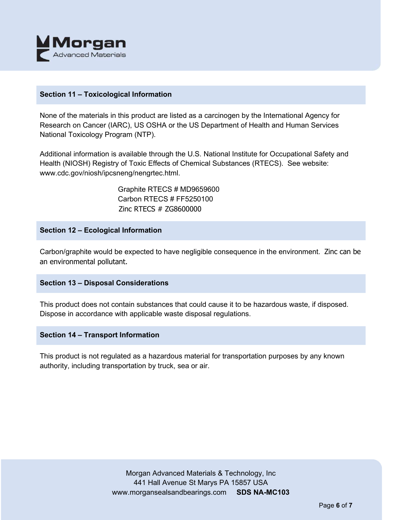

## **Section 11 – Toxicological Information**

None of the materials in this product are listed as a carcinogen by the International Agency for Research on Cancer (IARC), US OSHA or the US Department of Health and Human Services National Toxicology Program (NTP).

Additional information is available through the U.S. National Institute for Occupational Safety and Health (NIOSH) Registry of Toxic Effects of Chemical Substances (RTECS). See website: www.cdc.gov/niosh/ipcsneng/nengrtec.html.

> Graphite RTECS # MD9659600 Carbon RTECS # FF5250100 Zinc RTECS # ZG8600000

## **Section 12 – Ecological Information**

Carbon/graphite would be expected to have negligible consequence in the environment. Zinc can be an environmental pollutant.

#### **Section 13 – Disposal Considerations**

This product does not contain substances that could cause it to be hazardous waste, if disposed. Dispose in accordance with applicable waste disposal regulations.

#### **Section 14 – Transport Information**

This product is not regulated as a hazardous material for transportation purposes by any known authority, including transportation by truck, sea or air.